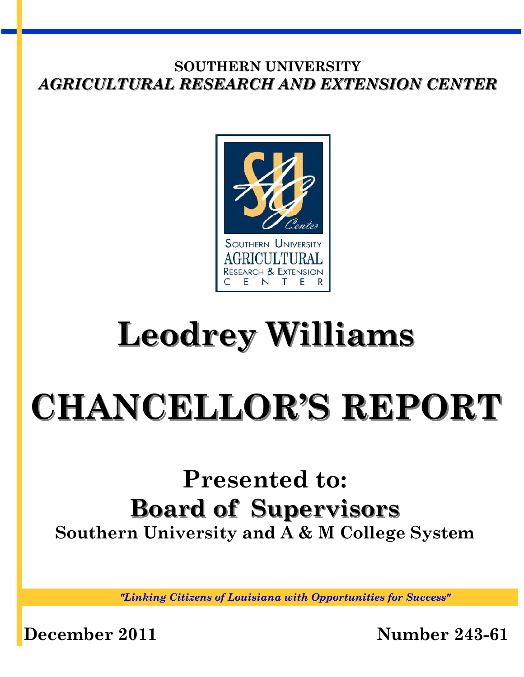

# **Leodrey Williams**

# **CHANCELLOR'S REPORT**

# **Presented to: Board of Supervisors Southern University and A & M College System**

*"Linking Citizens of Louisiana with Opportunities for Success"*

**December 2011 Number 243-61**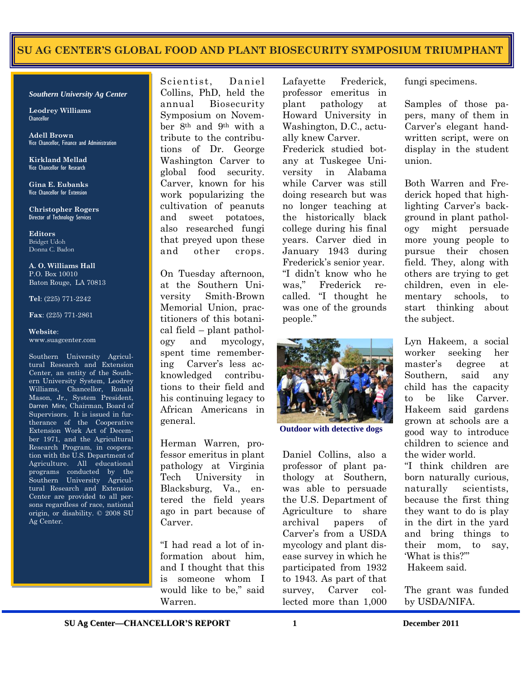#### SU AG CENTER'S GLOBAL FOOD AND PLANT BIOSECURITY SYMPOSIUM TRIUMPHANT

#### *Southern University Ag Center*

**Leodrey Williams**  Chancellor

**Adell Brown** Vice Chancellor, Finance and Administration

**Kirkland Mellad**  Vice Chancellor for Research

**Gina E. Eubanks**  Vice Chancellor for Extension

**Christopher Rogers** Director of Technology Services

**Editors**  Bridget Udoh Donna C. Badon

**A. O. Williams Hall**  P.O. Box 10010 Baton Rouge, LA 70813

**Tel**: (225) 771-2242

**Fax**: (225) 771-2861

#### **Website**: www.suagcenter.com

Southern University Agricultural Research and Extension Center, an entity of the Southern University System, Leodrey Williams, Chancellor, Ronald Mason, Jr., System President, Darren Mire, Chairman, Board of Supervisors. It is issued in furtherance of the Cooperative Extension Work Act of December 1971, and the Agricultural Research Program, in cooperation with the U.S. Department of Agriculture. All educational programs conducted by the Southern University Agricultural Research and Extension Center are provided to all persons regardless of race, national origin, or disability. © 2008 SU Ag Center.

Scientist, Daniel Collins, PhD, held the annual Biosecurity Symposium on November 8th and 9th with a tribute to the contributions of Dr. George Washington Carver to global food security. Carver, known for his work popularizing the cultivation of peanuts and sweet potatoes, also researched fungi that preyed upon these and other crops.

On Tuesday afternoon, at the Southern University Smith-Brown Memorial Union, practitioners of this botanical field – plant pathology and mycology, spent time remembering Carver"s less acknowledged contributions to their field and his continuing legacy to African Americans in general.

Herman Warren, professor emeritus in plant pathology at Virginia Tech University in Blacksburg, Va., entered the field years ago in part because of Carver.

"I had read a lot of information about him, and I thought that this is someone whom I would like to be," said Warren.

Lafayette Frederick, professor emeritus in plant pathology at Howard University in Washington, D.C., actually knew Carver. Frederick studied botany at Tuskegee University in Alabama while Carver was still doing research but was no longer teaching at the historically black college during his final years. Carver died in January 1943 during Frederick's senior year. "I didn"t know who he was," Frederick recalled. "I thought he was one of the grounds people."



**Outdoor with detective dogs** 

Daniel Collins, also a professor of plant pathology at Southern, was able to persuade the U.S. Department of Agriculture to share archival papers of Carver"s from a USDA mycology and plant disease survey in which he participated from 1932 to 1943. As part of that survey, Carver collected more than 1,000

fungi specimens.

Samples of those papers, many of them in Carver"s elegant handwritten script, were on display in the student union.

Both Warren and Frederick hoped that highlighting Carver's background in plant pathology might persuade more young people to pursue their chosen field. They, along with others are trying to get children, even in elementary schools, to start thinking about the subject.

Lyn Hakeem, a social worker seeking her master"s degree at Southern, said any child has the capacity to be like Carver. Hakeem said gardens grown at schools are a good way to introduce children to science and the wider world.

"I think children are born naturally curious, naturally scientists, because the first thing they want to do is play in the dirt in the yard and bring things to their mom, to say, "What is this?"" Hakeem said.

The grant was funded by USDA/NIFA.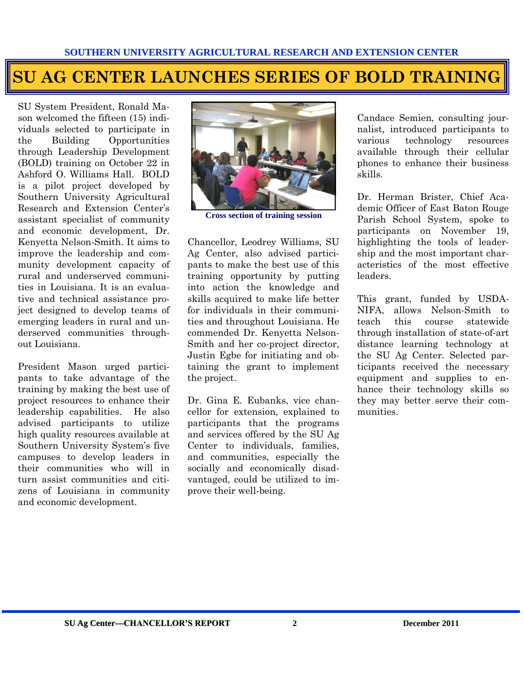# **SU AG CENTER LAUNCHES SERIES OF BOLD TRAINING**

SU System President, Ronald Mason welcomed the fifteen (15) individuals selected to participate in the Building Opportunities through Leadership Development (BOLD) training on October 22 in Ashford O. Williams Hall. BOLD is a pilot project developed by Southern University Agricultural Research and Extension Center's assistant specialist of community and economic development, Dr. Kenyetta Nelson-Smith. It aims to improve the leadership and community development capacity of rural and underserved communities in Louisiana. It is an evaluative and technical assistance project designed to develop teams of emerging leaders in rural and underserved communities throughout Louisiana.

President Mason urged participants to take advantage of the training by making the best use of project resources to enhance their leadership capabilities. He also advised participants to utilize high quality resources available at Southern University System"s five campuses to develop leaders in their communities who will in turn assist communities and citizens of Louisiana in community and economic development.



**Cross section of training session** 

Chancellor, Leodrey Williams, SU Ag Center, also advised participants to make the best use of this training opportunity by putting into action the knowledge and skills acquired to make life better for individuals in their communities and throughout Louisiana. He commended Dr. Kenyetta Nelson-Smith and her co-project director, Justin Egbe for initiating and obtaining the grant to implement the project.

Dr. Gina E. Eubanks, vice chancellor for extension, explained to participants that the programs and services offered by the SU Ag Center to individuals, families, and communities, especially the socially and economically disadvantaged, could be utilized to improve their well-being.

Candace Semien, consulting journalist, introduced participants to various technology resources available through their cellular phones to enhance their business skills.

Dr. Herman Brister, Chief Academic Officer of East Baton Rouge Parish School System, spoke to participants on November 19, highlighting the tools of leadership and the most important characteristics of the most effective leaders.

This grant, funded by USDA-NIFA, allows Nelson-Smith to teach this course statewide through installation of state-of-art distance learning technology at the SU Ag Center. Selected participants received the necessary equipment and supplies to enhance their technology skills so they may better serve their communities.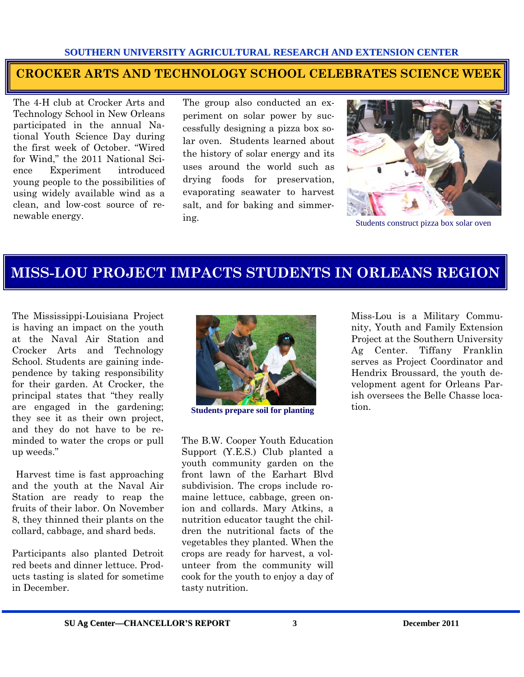#### **CROCKER ARTS AND TECHNOLOGY SCHOOL CELEBRATES SCIENCE WEEK**

The 4-H club at Crocker Arts and Technology School in New Orleans participated in the annual National Youth Science Day during the first week of October. "Wired for Wind," the 2011 National Science Experiment introduced young people to the possibilities of using widely available wind as a clean, and low-cost source of renewable energy.

The group also conducted an experiment on solar power by successfully designing a pizza box solar oven. Students learned about the history of solar energy and its uses around the world such as drying foods for preservation, evaporating seawater to harvest salt, and for baking and simmering.



Students construct pizza box solar oven

### **MISS-LOU PROJECT IMPACTS STUDENTS IN ORLEANS REGION**

The Mississippi-Louisiana Project is having an impact on the youth at the Naval Air Station and Crocker Arts and Technology School. Students are gaining independence by taking responsibility for their garden. At Crocker, the principal states that "they really are engaged in the gardening; they see it as their own project, and they do not have to be reminded to water the crops or pull up weeds."

 Harvest time is fast approaching and the youth at the Naval Air Station are ready to reap the fruits of their labor. On November 8, they thinned their plants on the collard, cabbage, and shard beds.

Participants also planted Detroit red beets and dinner lettuce. Products tasting is slated for sometime in December.



tion. **Students prepare soil for planting** 

The B.W. Cooper Youth Education Support (Y.E.S.) Club planted a youth community garden on the front lawn of the Earhart Blvd subdivision. The crops include romaine lettuce, cabbage, green onion and collards. Mary Atkins, a nutrition educator taught the children the nutritional facts of the vegetables they planted. When the crops are ready for harvest, a volunteer from the community will cook for the youth to enjoy a day of tasty nutrition.

Miss-Lou is a Military Community, Youth and Family Extension Project at the Southern University Ag Center. Tiffany Franklin serves as Project Coordinator and Hendrix Broussard, the youth development agent for Orleans Parish oversees the Belle Chasse loca-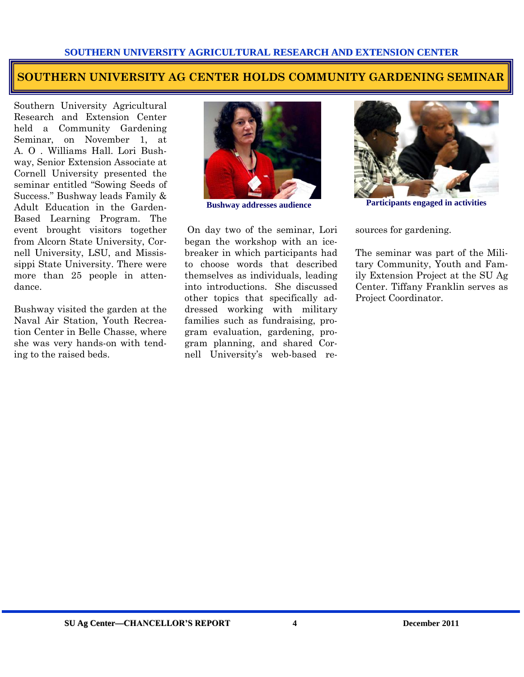#### **SOUTHERN UNIVERSITY AG CENTER HOLDS COMMUNITY GARDENING SEMINAR**

Southern University Agricultural Research and Extension Center held a Community Gardening Seminar, on November 1, at A. O . Williams Hall. Lori Bushway, Senior Extension Associate at Cornell University presented the seminar entitled "Sowing Seeds of Success." Bushway leads Family & Adult Education in the Garden-Based Learning Program. The event brought visitors together from Alcorn State University, Cornell University, LSU, and Mississippi State University. There were more than 25 people in attendance.

Bushway visited the garden at the Naval Air Station, Youth Recreation Center in Belle Chasse, where she was very hands-on with tending to the raised beds.



 On day two of the seminar, Lori began the workshop with an icebreaker in which participants had to choose words that described themselves as individuals, leading into introductions. She discussed other topics that specifically addressed working with military families such as fundraising, program evaluation, gardening, program planning, and shared Cornell University"s web-based re-



**Bushway addresses audience Participants engaged in activities** 

sources for gardening.

The seminar was part of the Military Community, Youth and Family Extension Project at the SU Ag Center. Tiffany Franklin serves as Project Coordinator.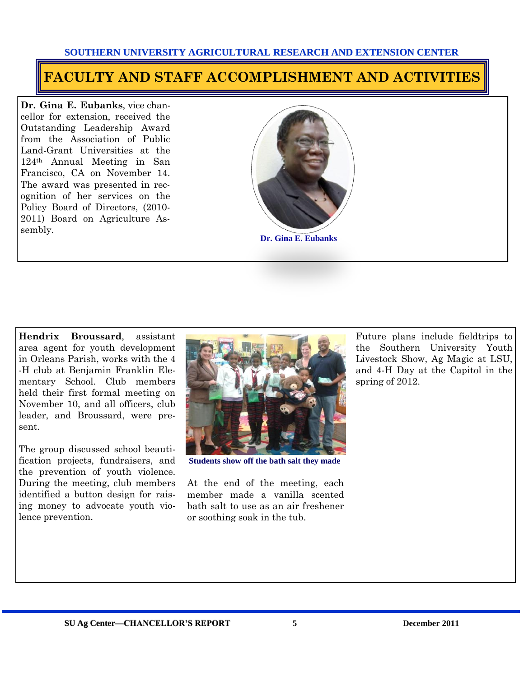#### **FACULTY AND STAFF ACCOMPLISHMENT AND ACTIVITIES**

**Dr. Gina E. Eubanks**, vice chancellor for extension, received the Outstanding Leadership Award from the Association of Public Land-Grant Universities at the 124th Annual Meeting in San Francisco, CA on November 14. The award was presented in recognition of her services on the Policy Board of Directors, (2010- 2011) Board on Agriculture Assembly.



**Hendrix Broussard**, assistant area agent for youth development in Orleans Parish, works with the 4 -H club at Benjamin Franklin Elementary School. Club members held their first formal meeting on November 10, and all officers, club leader, and Broussard, were present.

The group discussed school beautification projects, fundraisers, and the prevention of youth violence. During the meeting, club members identified a button design for raising money to advocate youth violence prevention.



**Students show off the bath salt they made** 

At the end of the meeting, each member made a vanilla scented bath salt to use as an air freshener or soothing soak in the tub.

Future plans include fieldtrips to the Southern University Youth Livestock Show, Ag Magic at LSU, and 4-H Day at the Capitol in the spring of 2012.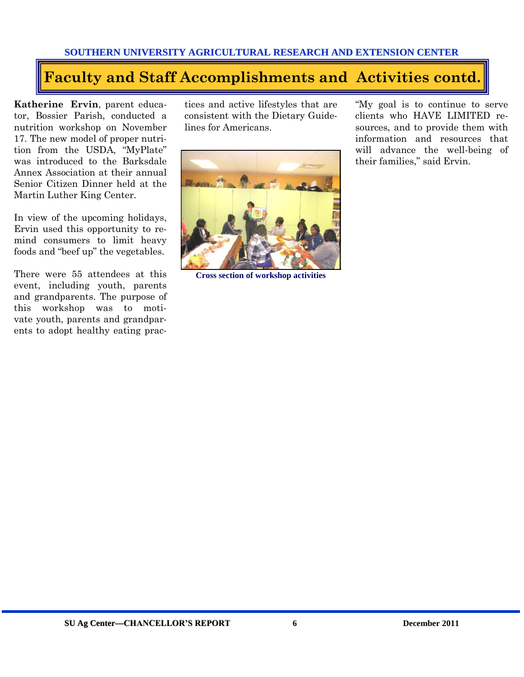### **Faculty and Staff Accomplishments and Activities contd.**

**Katherine Ervin**, parent educator, Bossier Parish, conducted a nutrition workshop on November 17. The new model of proper nutrition from the USDA, "MyPlate" was introduced to the Barksdale Annex Association at their annual Senior Citizen Dinner held at the Martin Luther King Center.

In view of the upcoming holidays, Ervin used this opportunity to remind consumers to limit heavy foods and "beef up" the vegetables.

There were 55 attendees at this event, including youth, parents and grandparents. The purpose of this workshop was to motivate youth, parents and grandparents to adopt healthy eating prac-

tices and active lifestyles that are consistent with the Dietary Guidelines for Americans.



**Cross section of workshop activities** 

"My goal is to continue to serve clients who HAVE LIMITED resources, and to provide them with information and resources that will advance the well-being of their families," said Ervin.